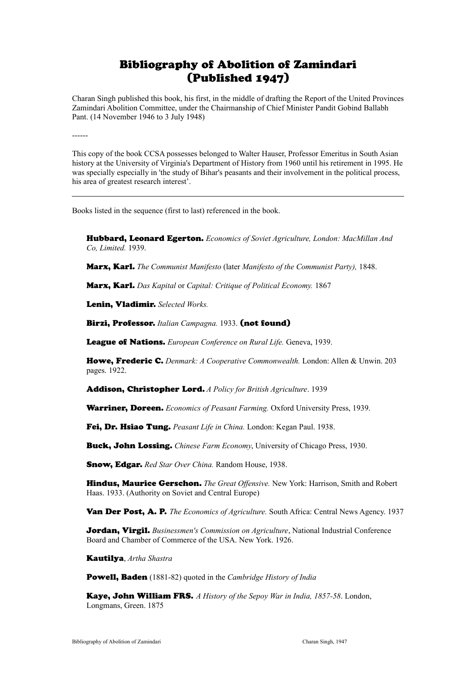## Bibliography of Abolition of Zamindari (Published 1947)

Charan Singh published this book, his first, in the middle of drafting the Report of the United Provinces Zamindari Abolition Committee, under the Chairmanship of Chief Minister Pandit Gobind Ballabh Pant. (14 November 1946 to 3 July 1948)

------

This copy of the book CCSA possesses belonged to Walter Hauser, Professor Emeritus in South Asian history at the University of Virginia's Department of History from 1960 until his retirement in 1995. He was specially especially in 'the study of Bihar's peasants and their involvement in the political process, his area of greatest research interest'.

Books listed in the sequence (first to last) referenced in the book.

Hubbard, Leonard Egerton. *Economics of Soviet Agriculture, London: MacMillan And Co, Limited.* 1939.

Marx, Karl. *The Communist Manifesto* (later *Manifesto of the Communist Party),* 1848.

Marx, Karl. *Das Kapital* or *Capital: Critique of Political Economy.* 1867

Lenin, Vladimir. *Selected Works.*

Birzi, Professor. *Italian Campagna.* 1933. (not found)

League of Nations. *European Conference on Rural Life.* Geneva, 1939.

Howe, Frederic C. *Denmark: A Cooperative Commonwealth.* London: Allen & Unwin. 203 pages. 1922.

Addison, Christopher Lord. *A Policy for British Agriculture*. 1939

Warriner, Doreen. *Economics of Peasant Farming.* Oxford University Press, 1939.

Fei, Dr. Hsiao Tung. *Peasant Life in China.* London: Kegan Paul. 1938.

Buck, John Lossing. *Chinese Farm Economy*, University of Chicago Press, 1930.

Snow, Edgar. *Red Star Over China.* Random House, 1938.

Hindus, Maurice Gerschon. *The Great Offensive.* New York: Harrison, Smith and Robert Haas. 1933. (Authority on Soviet and Central Europe)

Van Der Post, A. P. *The Economics of Agriculture.* South Africa: Central News Agency. 1937

**Jordan, Virgil.** *Businessmen's Commission on Agriculture*, National Industrial Conference Board and Chamber of Commerce of the USA. New York. 1926.

Kautilya, *Artha Shastra*

Powell, Baden (1881-82) quoted in the *Cambridge History of India*

Kaye, John William FRS. *A History of the Sepoy War in India, 1857-58*. London, Longmans, Green. 1875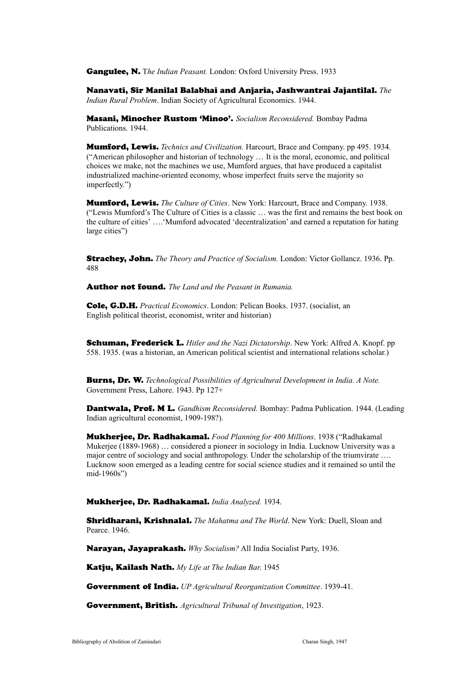Gangulee, N. T*he Indian Peasant.* London: Oxford University Press. 1933

Nanavati, Sir Manilal Balabhai and Anjaria, Jashwantrai Jajantilal. *The Indian Rural Problem*. Indian Society of Agricultural Economics. 1944.

Masani, Minocher Rustom 'Minoo'. *Socialism Reconsidered.* Bombay Padma Publications. 1944.

Mumford, Lewis. *Technics and Civilization.* Harcourt, Brace and Company. pp 495. 1934. ("American philosopher and historian of technology … It is the moral, economic, and political choices we make, not the machines we use, Mumford argues, that have produced a capitalist industrialized machine-oriented economy, whose imperfect fruits serve the majority so imperfectly.")

Mumford, Lewis. *The Culture of Cities*. New York: Harcourt, Brace and Company. 1938. ("Lewis Mumford's The Culture of Cities is a classic … was the first and remains the best book on the culture of cities' ….'Mumford advocated 'decentralization' and earned a reputation for hating large cities")

Strachey, John. *The Theory and Practice of Socialism.* London: Victor Gollancz. 1936. Pp. 488

Author not found. *The Land and the Peasant in Rumania.* 

Cole, G.D.H. *Practical Economics*. London: Pelican Books. 1937. (socialist, an English political theorist, economist, writer and historian)

Schuman, Frederick L. *Hitler and the Nazi Dictatorship*. New York: Alfred A. Knopf. pp 558. 1935. (was a historian, an American political scientist and international relations scholar.)

Burns, Dr. W. *Technological Possibilities of Agricultural Development in India. A Note.* Government Press, Lahore. 1943. Pp 127+

Dantwala, Prof. M L. *Gandhism Reconsidered.* Bombay: Padma Publication. 1944. (Leading Indian agricultural economist, 1909-198?).

Mukherjee, Dr. Radhakamal. *Food Planning for 400 Millions*. 1938 ("Radhakamal Mukerjee (1889-1968) … considered a pioneer in sociology in India. Lucknow University was a major centre of sociology and social anthropology. Under the scholarship of the triumvirate …. Lucknow soon emerged as a leading centre for social science studies and it remained so until the mid-1960s")

## Mukherjee, Dr. Radhakamal. *India Analyzed.* 1934.

Shridharani, Krishnalal. *The Mahatma and The World*. New York: Duell, Sloan and Pearce. 1946.

Narayan, Jayaprakash. *Why Socialism?* All India Socialist Party, 1936.

Katju, Kailash Nath. *My Life at The Indian Bar*. 1945

Government of India*. UP Agricultural Reorganization Committee*. 1939-41.

Government, British. *Agricultural Tribunal of Investigation*, 1923.